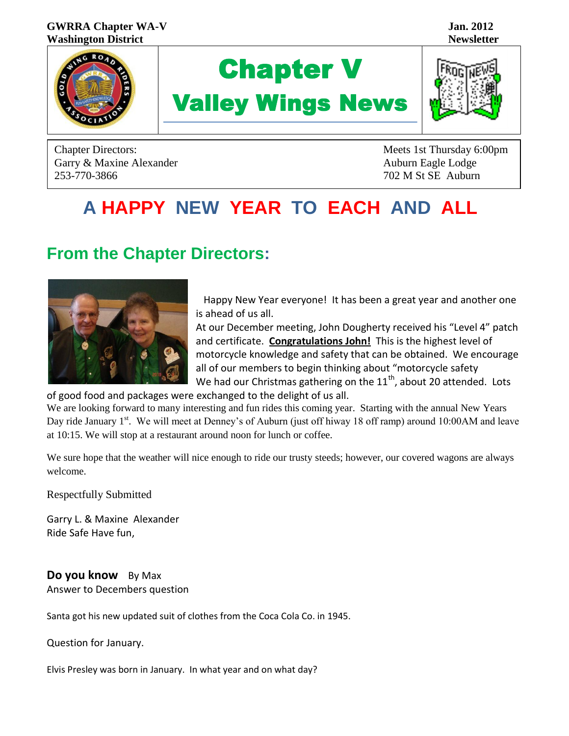#### **GWRRA Chapter WA-V Jan. 2012 Washington District Newsletter**



# Chapter V Valley Wings News



Garry & Maxine Alexander Auburn Eagle Lodge Auburn Eagle Lodge 253-770-3866 702 M St SE Auburn

Chapter Directors: Meets 1st Thursday 6:00pm

# **A HAPPY NEW YEAR TO EACH AND ALL**

## **From the Chapter Directors:**



 Happy New Year everyone! It has been a great year and another one is ahead of us all.

At our December meeting, John Dougherty received his "Level 4" patch and certificate. **Congratulations John!** This is the highest level of motorcycle knowledge and safety that can be obtained. We encourage all of our members to begin thinking about "motorcycle safety We had our Christmas gathering on the  $11<sup>th</sup>$ , about 20 attended. Lots

of good food and packages were exchanged to the delight of us all.

We are looking forward to many interesting and fun rides this coming year. Starting with the annual New Years Day ride January 1<sup>st</sup>. We will meet at Denney's of Auburn (just off hiway 18 off ramp) around 10:00AM and leave at 10:15. We will stop at a restaurant around noon for lunch or coffee.

We sure hope that the weather will nice enough to ride our trusty steeds; however, our covered wagons are always welcome.

Respectfully Submitted

Garry L. & Maxine Alexander Ride Safe Have fun,

**Do you know** By Max Answer to Decembers question

Santa got his new updated suit of clothes from the Coca Cola Co. in 1945.

Question for January.

Elvis Presley was born in January. In what year and on what day?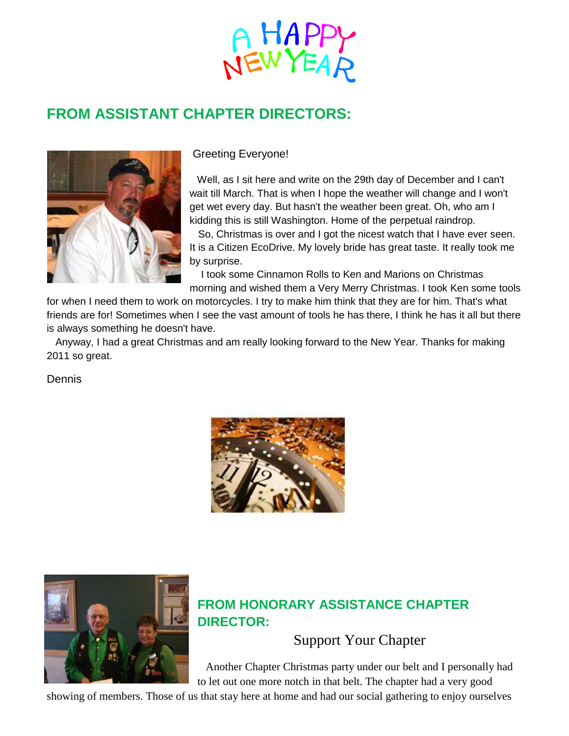

## **FROM ASSISTANT CHAPTER DIRECTORS:**



#### Greeting Everyone!

 Well, as I sit here and write on the 29th day of December and I can't wait till March. That is when I hope the weather will change and I won't get wet every day. But hasn't the weather been great. Oh, who am I kidding this is still Washington. Home of the perpetual raindrop.

 So, Christmas is over and I got the nicest watch that I have ever seen. It is a Citizen EcoDrive. My lovely bride has great taste. It really took me by surprise.

 I took some Cinnamon Rolls to Ken and Marions on Christmas morning and wished them a Very Merry Christmas. I took Ken some tools

for when I need them to work on motorcycles. I try to make him think that they are for him. That's what friends are for! Sometimes when I see the vast amount of tools he has there, I think he has it all but there is always something he doesn't have.

 Anyway, I had a great Christmas and am really looking forward to the New Year. Thanks for making 2011 so great.

Dennis





### **FROM HONORARY ASSISTANCE CHAPTER DIRECTOR:**

#### Support Your Chapter

 Another Chapter Christmas party under our belt and I personally had to let out one more notch in that belt. The chapter had a very good

showing of members. Those of us that stay here at home and had our social gathering to enjoy ourselves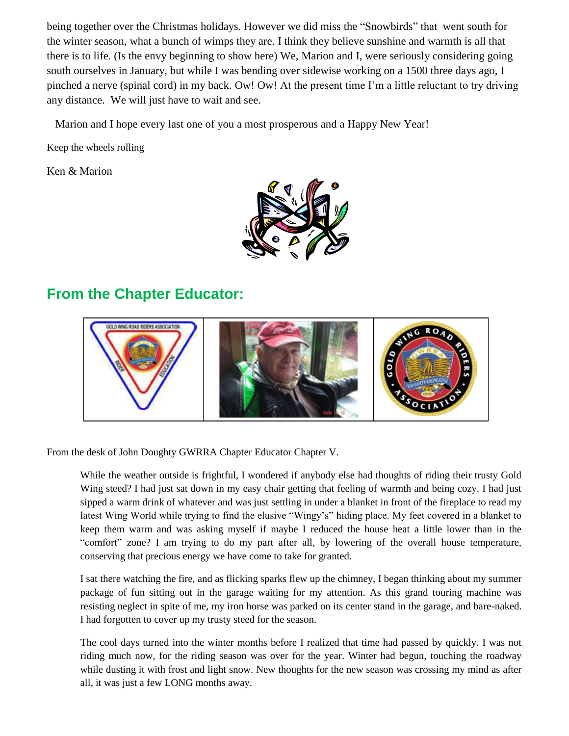being together over the Christmas holidays. However we did miss the "Snowbirds" that went south for the winter season, what a bunch of wimps they are. I think they believe sunshine and warmth is all that there is to life. (Is the envy beginning to show here) We, Marion and I, were seriously considering going south ourselves in January, but while I was bending over sidewise working on a 1500 three days ago, I pinched a nerve (spinal cord) in my back. Ow! Ow! At the present time I'm a little reluctant to try driving any distance. We will just have to wait and see.

Marion and I hope every last one of you a most prosperous and a Happy New Year!

Keep the wheels rolling

Ken & Marion



### **From the Chapter Educator:**



From the desk of John Doughty GWRRA Chapter Educator Chapter V.

While the weather outside is frightful, I wondered if anybody else had thoughts of riding their trusty Gold Wing steed? I had just sat down in my easy chair getting that feeling of warmth and being cozy. I had just sipped a warm drink of whatever and was just settling in under a blanket in front of the fireplace to read my latest Wing World while trying to find the elusive "Wingy's" hiding place. My feet covered in a blanket to keep them warm and was asking myself if maybe I reduced the house heat a little lower than in the "comfort" zone? I am trying to do my part after all, by lowering of the overall house temperature, conserving that precious energy we have come to take for granted.

I sat there watching the fire, and as flicking sparks flew up the chimney, I began thinking about my summer package of fun sitting out in the garage waiting for my attention. As this grand touring machine was resisting neglect in spite of me, my iron horse was parked on its center stand in the garage, and bare-naked. I had forgotten to cover up my trusty steed for the season.

The cool days turned into the winter months before I realized that time had passed by quickly. I was not riding much now, for the riding season was over for the year. Winter had begun, touching the roadway while dusting it with frost and light snow. New thoughts for the new season was crossing my mind as after all, it was just a few LONG months away.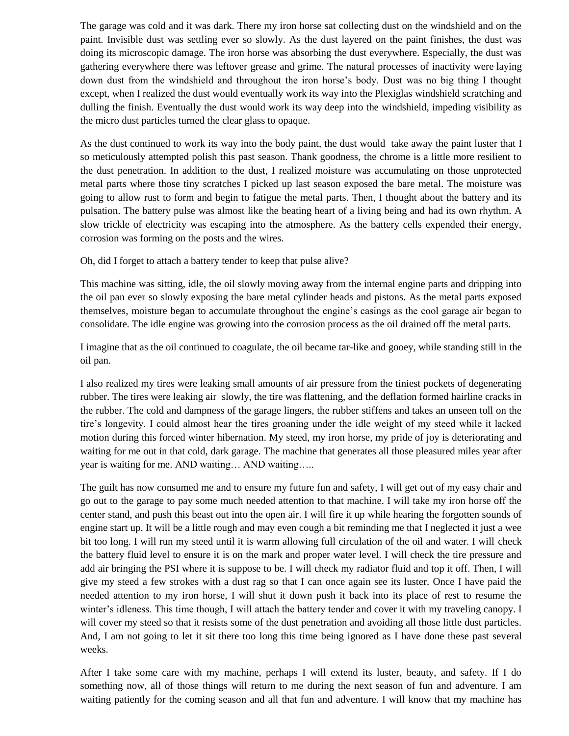The garage was cold and it was dark. There my iron horse sat collecting dust on the windshield and on the paint. Invisible dust was settling ever so slowly. As the dust layered on the paint finishes, the dust was doing its microscopic damage. The iron horse was absorbing the dust everywhere. Especially, the dust was gathering everywhere there was leftover grease and grime. The natural processes of inactivity were laying down dust from the windshield and throughout the iron horse's body. Dust was no big thing I thought except, when I realized the dust would eventually work its way into the Plexiglas windshield scratching and dulling the finish. Eventually the dust would work its way deep into the windshield, impeding visibility as the micro dust particles turned the clear glass to opaque.

As the dust continued to work its way into the body paint, the dust would take away the paint luster that I so meticulously attempted polish this past season. Thank goodness, the chrome is a little more resilient to the dust penetration. In addition to the dust, I realized moisture was accumulating on those unprotected metal parts where those tiny scratches I picked up last season exposed the bare metal. The moisture was going to allow rust to form and begin to fatigue the metal parts. Then, I thought about the battery and its pulsation. The battery pulse was almost like the beating heart of a living being and had its own rhythm. A slow trickle of electricity was escaping into the atmosphere. As the battery cells expended their energy, corrosion was forming on the posts and the wires.

Oh, did I forget to attach a battery tender to keep that pulse alive?

This machine was sitting, idle, the oil slowly moving away from the internal engine parts and dripping into the oil pan ever so slowly exposing the bare metal cylinder heads and pistons. As the metal parts exposed themselves, moisture began to accumulate throughout the engine's casings as the cool garage air began to consolidate. The idle engine was growing into the corrosion process as the oil drained off the metal parts.

I imagine that as the oil continued to coagulate, the oil became tar-like and gooey, while standing still in the oil pan.

I also realized my tires were leaking small amounts of air pressure from the tiniest pockets of degenerating rubber. The tires were leaking air slowly, the tire was flattening, and the deflation formed hairline cracks in the rubber. The cold and dampness of the garage lingers, the rubber stiffens and takes an unseen toll on the tire's longevity. I could almost hear the tires groaning under the idle weight of my steed while it lacked motion during this forced winter hibernation. My steed, my iron horse, my pride of joy is deteriorating and waiting for me out in that cold, dark garage. The machine that generates all those pleasured miles year after year is waiting for me. AND waiting… AND waiting…..

The guilt has now consumed me and to ensure my future fun and safety, I will get out of my easy chair and go out to the garage to pay some much needed attention to that machine. I will take my iron horse off the center stand, and push this beast out into the open air. I will fire it up while hearing the forgotten sounds of engine start up. It will be a little rough and may even cough a bit reminding me that I neglected it just a wee bit too long. I will run my steed until it is warm allowing full circulation of the oil and water. I will check the battery fluid level to ensure it is on the mark and proper water level. I will check the tire pressure and add air bringing the PSI where it is suppose to be. I will check my radiator fluid and top it off. Then, I will give my steed a few strokes with a dust rag so that I can once again see its luster. Once I have paid the needed attention to my iron horse, I will shut it down push it back into its place of rest to resume the winter's idleness. This time though, I will attach the battery tender and cover it with my traveling canopy. I will cover my steed so that it resists some of the dust penetration and avoiding all those little dust particles. And, I am not going to let it sit there too long this time being ignored as I have done these past several weeks.

After I take some care with my machine, perhaps I will extend its luster, beauty, and safety. If I do something now, all of those things will return to me during the next season of fun and adventure. I am waiting patiently for the coming season and all that fun and adventure. I will know that my machine has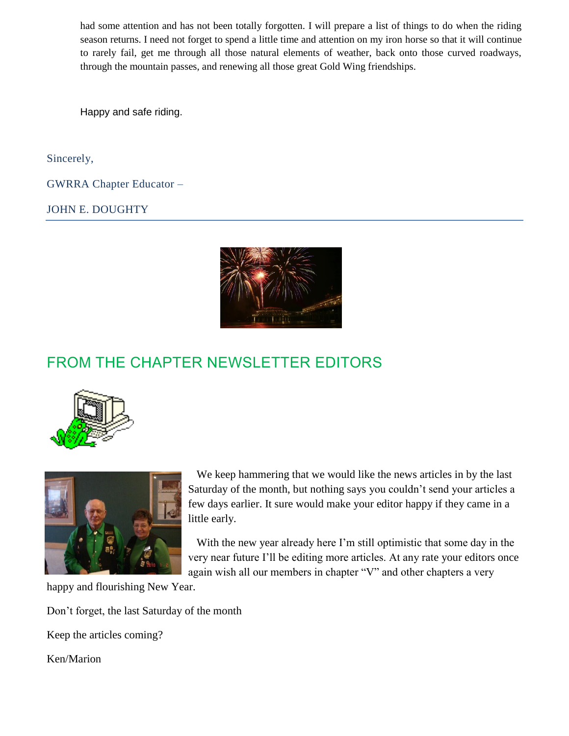had some attention and has not been totally forgotten. I will prepare a list of things to do when the riding season returns. I need not forget to spend a little time and attention on my iron horse so that it will continue to rarely fail, get me through all those natural elements of weather, back onto those curved roadways, through the mountain passes, and renewing all those great Gold Wing friendships.

Happy and safe riding.

Sincerely,

GWRRA Chapter Educator –

JOHN E. DOUGHTY



## FROM THE CHAPTER NEWSLETTER EDITORS





 We keep hammering that we would like the news articles in by the last Saturday of the month, but nothing says you couldn't send your articles a few days earlier. It sure would make your editor happy if they came in a little early.

 With the new year already here I'm still optimistic that some day in the very near future I'll be editing more articles. At any rate your editors once again wish all our members in chapter "V" and other chapters a very

happy and flourishing New Year.

Don't forget, the last Saturday of the month

Keep the articles coming?

Ken/Marion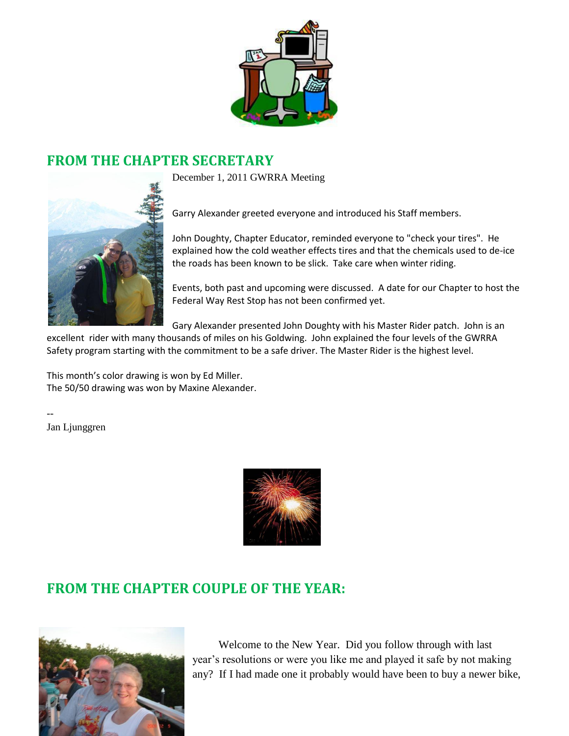

#### **FROM THE CHAPTER SECRETARY**

December 1, 2011 GWRRA Meeting



John Doughty, Chapter Educator, reminded everyone to "check your tires". He explained how the cold weather effects tires and that the chemicals used to de-ice the roads has been known to be slick. Take care when winter riding.

Events, both past and upcoming were discussed. A date for our Chapter to host the Federal Way Rest Stop has not been confirmed yet.

Gary Alexander presented John Doughty with his Master Rider patch. John is an

excellent rider with many thousands of miles on his Goldwing. John explained the four levels of the GWRRA Safety program starting with the commitment to be a safe driver. The Master Rider is the highest level.

This month's color drawing is won by Ed Miller. The 50/50 drawing was won by Maxine Alexander.

Jan Ljunggren

--



### **FROM THE CHAPTER COUPLE OF THE YEAR:**



 Welcome to the New Year. Did you follow through with last year's resolutions or were you like me and played it safe by not making any? If I had made one it probably would have been to buy a newer bike,

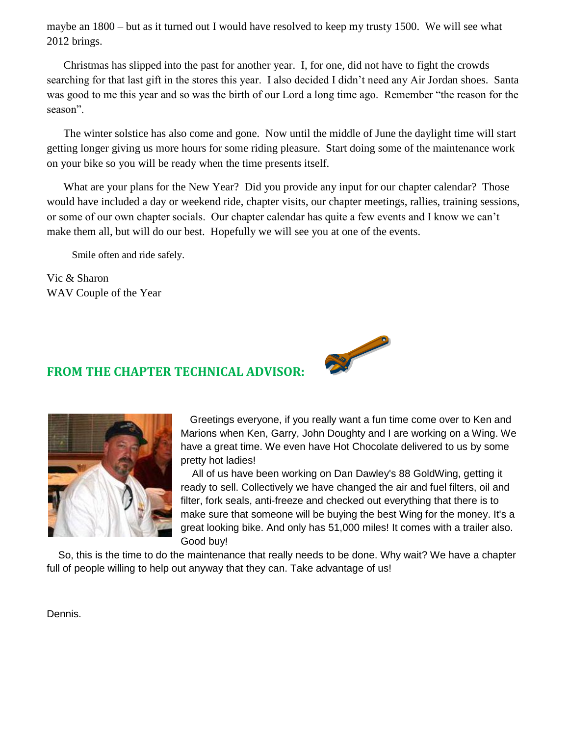maybe an 1800 – but as it turned out I would have resolved to keep my trusty 1500. We will see what 2012 brings.

Christmas has slipped into the past for another year. I, for one, did not have to fight the crowds searching for that last gift in the stores this year. I also decided I didn't need any Air Jordan shoes. Santa was good to me this year and so was the birth of our Lord a long time ago. Remember "the reason for the season".

The winter solstice has also come and gone. Now until the middle of June the daylight time will start getting longer giving us more hours for some riding pleasure. Start doing some of the maintenance work on your bike so you will be ready when the time presents itself.

What are your plans for the New Year? Did you provide any input for our chapter calendar? Those would have included a day or weekend ride, chapter visits, our chapter meetings, rallies, training sessions, or some of our own chapter socials. Our chapter calendar has quite a few events and I know we can't make them all, but will do our best. Hopefully we will see you at one of the events.

Smile often and ride safely.

Vic & Sharon WAV Couple of the Year



#### **FROM THE CHAPTER TECHNICAL ADVISOR:**



Greetings everyone, if you really want a fun time come over to Ken and Marions when Ken, Garry, John Doughty and I are working on a Wing. We have a great time. We even have Hot Chocolate delivered to us by some pretty hot ladies!

 All of us have been working on Dan Dawley's 88 GoldWing, getting it ready to sell. Collectively we have changed the air and fuel filters, oil and filter, fork seals, anti-freeze and checked out everything that there is to make sure that someone will be buying the best Wing for the money. It's a great looking bike. And only has 51,000 miles! It comes with a trailer also. Good buy!

 So, this is the time to do the maintenance that really needs to be done. Why wait? We have a chapter full of people willing to help out anyway that they can. Take advantage of us!

Dennis.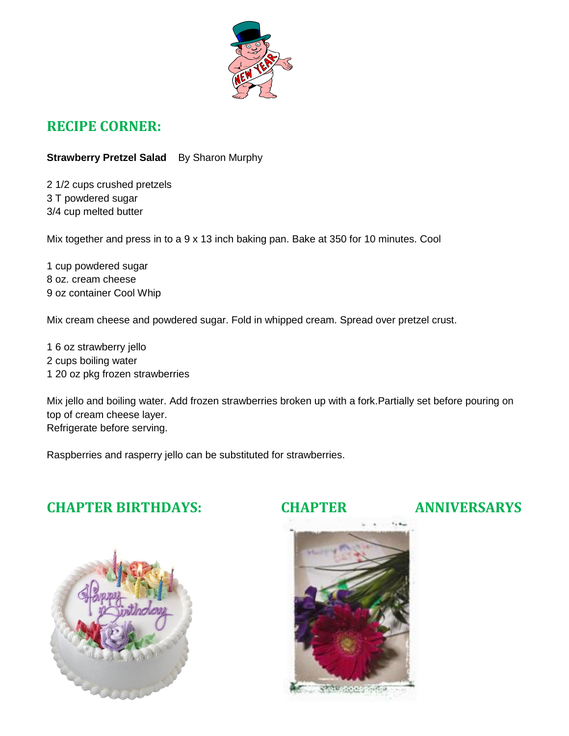

#### **RECIPE CORNER:**

**Strawberry Pretzel Salad** By Sharon Murphy

2 1/2 cups crushed pretzels 3 T powdered sugar 3/4 cup melted butter

Mix together and press in to a 9 x 13 inch baking pan. Bake at 350 for 10 minutes. Cool

1 cup powdered sugar 8 oz. cream cheese 9 oz container Cool Whip

Mix cream cheese and powdered sugar. Fold in whipped cream. Spread over pretzel crust.

1 6 oz strawberry jello 2 cups boiling water 1 20 oz pkg frozen strawberries

Mix jello and boiling water. Add frozen strawberries broken up with a fork.Partially set before pouring on top of cream cheese layer. Refrigerate before serving.

Raspberries and rasperry jello can be substituted for strawberries.

### **CHAPTER BIRTHDAYS: CHAPTER ANNIVERSARYS**





**STAR-AND START**